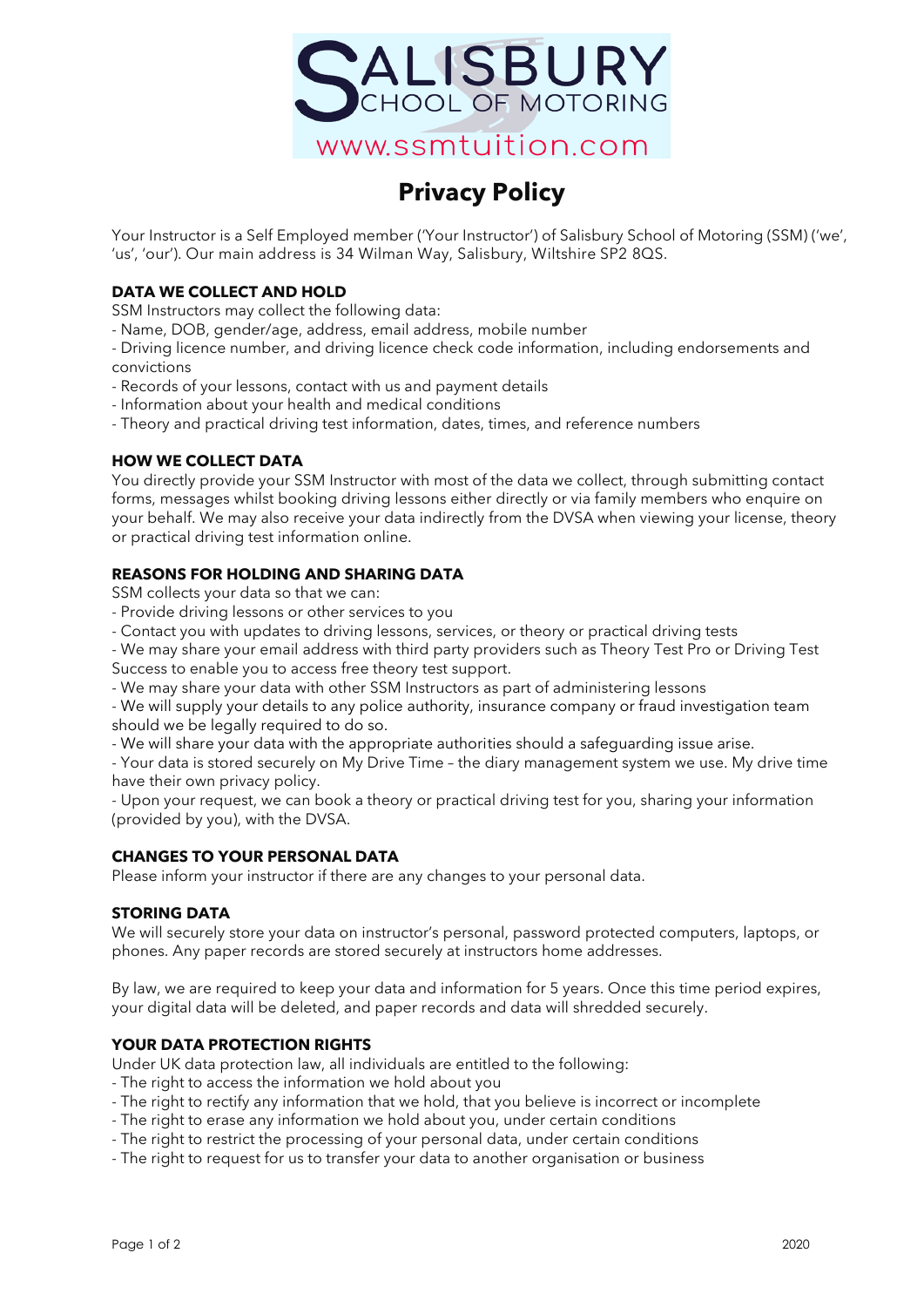

# **Privacy Policy**

Your Instructor is a Self Employed member ('Your Instructor') of Salisbury School of Motoring (SSM) ('we', 'us', 'our'). Our main address is 34 Wilman Way, Salisbury, Wiltshire SP2 8QS.

# **DATA WE COLLECT AND HOLD**

SSM Instructors may collect the following data:

- Name, DOB, gender/age, address, email address, mobile number

- Driving licence number, and driving licence check code information, including endorsements and convictions

- Records of your lessons, contact with us and payment details
- Information about your health and medical conditions
- Theory and practical driving test information, dates, times, and reference numbers

## **HOW WE COLLECT DATA**

You directly provide your SSM Instructor with most of the data we collect, through submitting contact forms, messages whilst booking driving lessons either directly or via family members who enquire on your behalf. We may also receive your data indirectly from the DVSA when viewing your license, theory or practical driving test information online.

## **REASONS FOR HOLDING AND SHARING DATA**

SSM collects your data so that we can:

- Provide driving lessons or other services to you
- Contact you with updates to driving lessons, services, or theory or practical driving tests

- We may share your email address with third party providers such as Theory Test Pro or Driving Test Success to enable you to access free theory test support.

- We may share your data with other SSM Instructors as part of administering lessons

- We will supply your details to any police authority, insurance company or fraud investigation team should we be legally required to do so.

- We will share your data with the appropriate authorities should a safeguarding issue arise.

- Your data is stored securely on My Drive Time – the diary management system we use. My drive time have their own privacy policy.

- Upon your request, we can book a theory or practical driving test for you, sharing your information (provided by you), with the DVSA.

## **CHANGES TO YOUR PERSONAL DATA**

Please inform your instructor if there are any changes to your personal data.

## **STORING DATA**

We will securely store your data on instructor's personal, password protected computers, laptops, or phones. Any paper records are stored securely at instructors home addresses.

By law, we are required to keep your data and information for 5 years. Once this time period expires, your digital data will be deleted, and paper records and data will shredded securely.

## **YOUR DATA PROTECTION RIGHTS**

Under UK data protection law, all individuals are entitled to the following:

- The right to access the information we hold about you
- The right to rectify any information that we hold, that you believe is incorrect or incomplete
- The right to erase any information we hold about you, under certain conditions
- The right to restrict the processing of your personal data, under certain conditions
- The right to request for us to transfer your data to another organisation or business